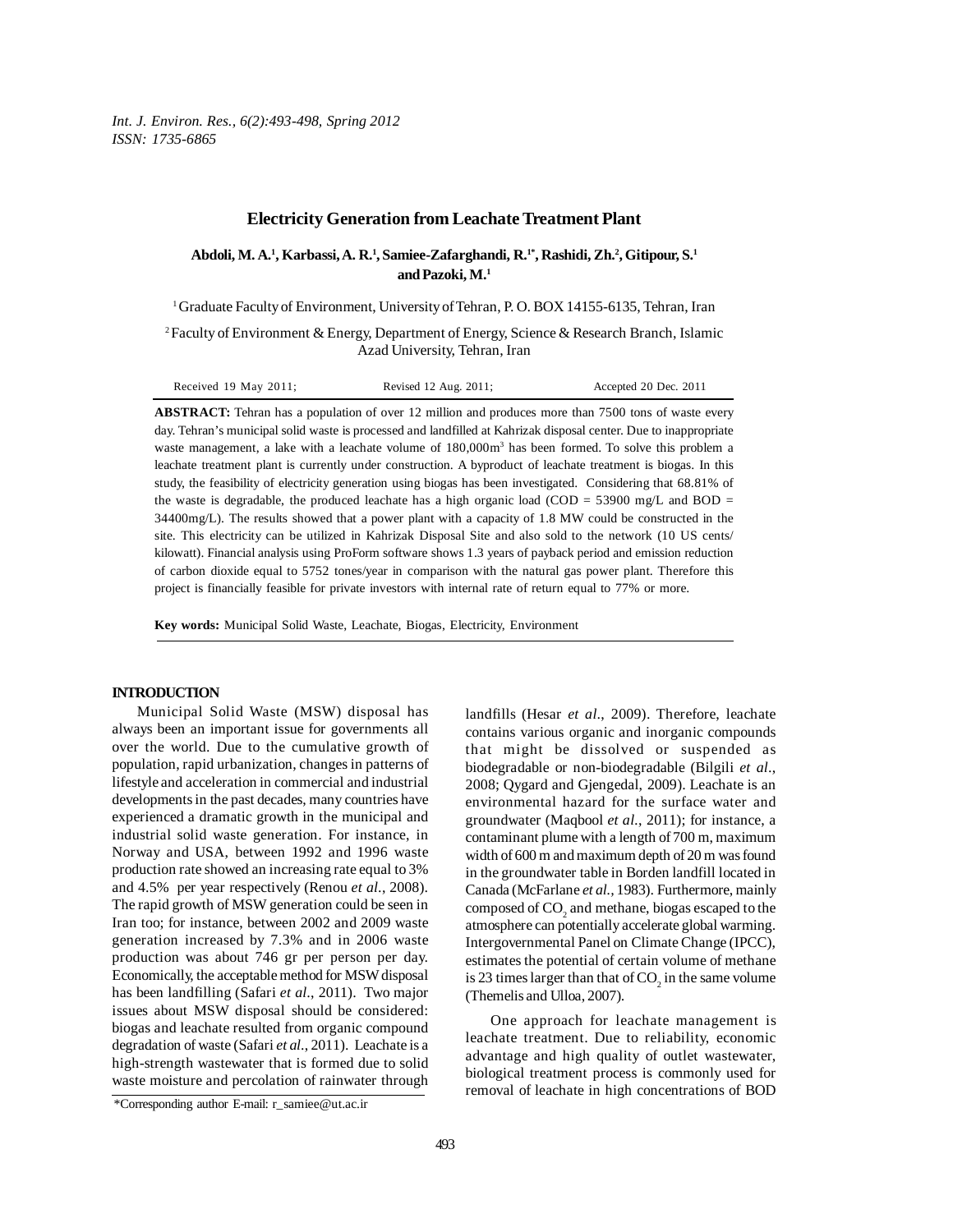*Int. J. Environ. Res., 6(2):493-498, Spring 2012 ISSN: 1735-6865*

### **Electricity Generation from Leachate Treatment Plant**

**Abdoli, M. A.1 , Karbassi, A. R.1 , Samiee-Zafarghandi, R.1\*, Rashidi, Zh.2 , Gitipour, S.1 and Pazoki, M.1**

1 Graduate Faculty of Environment, University of Tehran, P. O. BOX 14155-6135, Tehran, Iran

<sup>2</sup> Faculty of Environment & Energy, Department of Energy, Science & Research Branch, Islamic Azad University, Tehran, Iran

| Received 19 May 2011; | Revised 12 Aug. 2011; | Accepted 20 Dec. 2011 |
|-----------------------|-----------------------|-----------------------|
|-----------------------|-----------------------|-----------------------|

**ABSTRACT:** Tehran has a population of over 12 million and produces more than 7500 tons of waste every day. Tehran's municipal solid waste is processed and landfilled at Kahrizak disposal center. Due to inappropriate waste management, a lake with a leachate volume of  $180,000m<sup>3</sup>$  has been formed. To solve this problem a leachate treatment plant is currently under construction. A byproduct of leachate treatment is biogas. In this study, the feasibility of electricity generation using biogas has been investigated. Considering that 68.81% of the waste is degradable, the produced leachate has a high organic load (COD =  $53900 \text{ mg/L}$  and BOD = 34400mg/L). The results showed that a power plant with a capacity of 1.8 MW could be constructed in the site. This electricity can be utilized in Kahrizak Disposal Site and also sold to the network (10 US cents/ kilowatt). Financial analysis using ProForm software shows 1.3 years of payback period and emission reduction of carbon dioxide equal to 5752 tones/year in comparison with the natural gas power plant. Therefore this project is financially feasible for private investors with internal rate of return equal to 77% or more.

**Key words:** Municipal Solid Waste, Leachate, Biogas, Electricity, Environment

## **INTRODUCTION**

Municipal Solid Waste (MSW) disposal has always been an important issue for governments all over the world. Due to the cumulative growth of population, rapid urbanization, changes in patterns of lifestyle and acceleration in commercial and industrial developments in the past decades, many countries have experienced a dramatic growth in the municipal and industrial solid waste generation. For instance, in Norway and USA, between 1992 and 1996 waste production rate showed an increasing rate equal to 3% and 4.5% per year respectively (Renou *et al*., 2008). The rapid growth of MSW generation could be seen in Iran too; for instance, between 2002 and 2009 waste generation increased by 7.3% and in 2006 waste production was about 746 gr per person per day. Economically, the acceptable method for MSW disposal has been landfilling (Safari *et al*., 2011). Two major issues about MSW disposal should be considered: biogas and leachate resulted from organic compound degradation of waste (Safari *et al*., 2011). Leachate is a high-strength wastewater that is formed due to solid waste moisture and percolation of rainwater through

landfills (Hesar *et al*., 2009). Therefore, leachate contains various organic and inorganic compounds that might be dissolved or suspended as biodegradable or non-biodegradable (Bilgili *et al*., 2008; Qygard and Gjengedal, 2009). Leachate is an environmental hazard for the surface water and groundwater (Maqbool *et al.*, 2011); for instance, a contaminant plume with a length of 700 m, maximum width of 600 m and maximum depth of 20 m was found in the groundwater table in Borden landfill located in Canada (McFarlane *et al.,* 1983). Furthermore, mainly composed of  $\mathrm{CO}_2^{}$  and methane, biogas escaped to the atmosphere can potentially accelerate global warming. Intergovernmental Panel on Climate Change (IPCC), estimates the potential of certain volume of methane is 23 times larger than that of  $CO<sub>2</sub>$  in the same volume (Themelis and Ulloa, 2007).

One approach for leachate management is leachate treatment. Due to reliability, economic advantage and high quality of outlet wastewater, biological treatment process is commonly used for removal of leachate in high concentrations of BOD

<sup>\*</sup>Corresponding author E-mail: r\_samiee@ut.ac.ir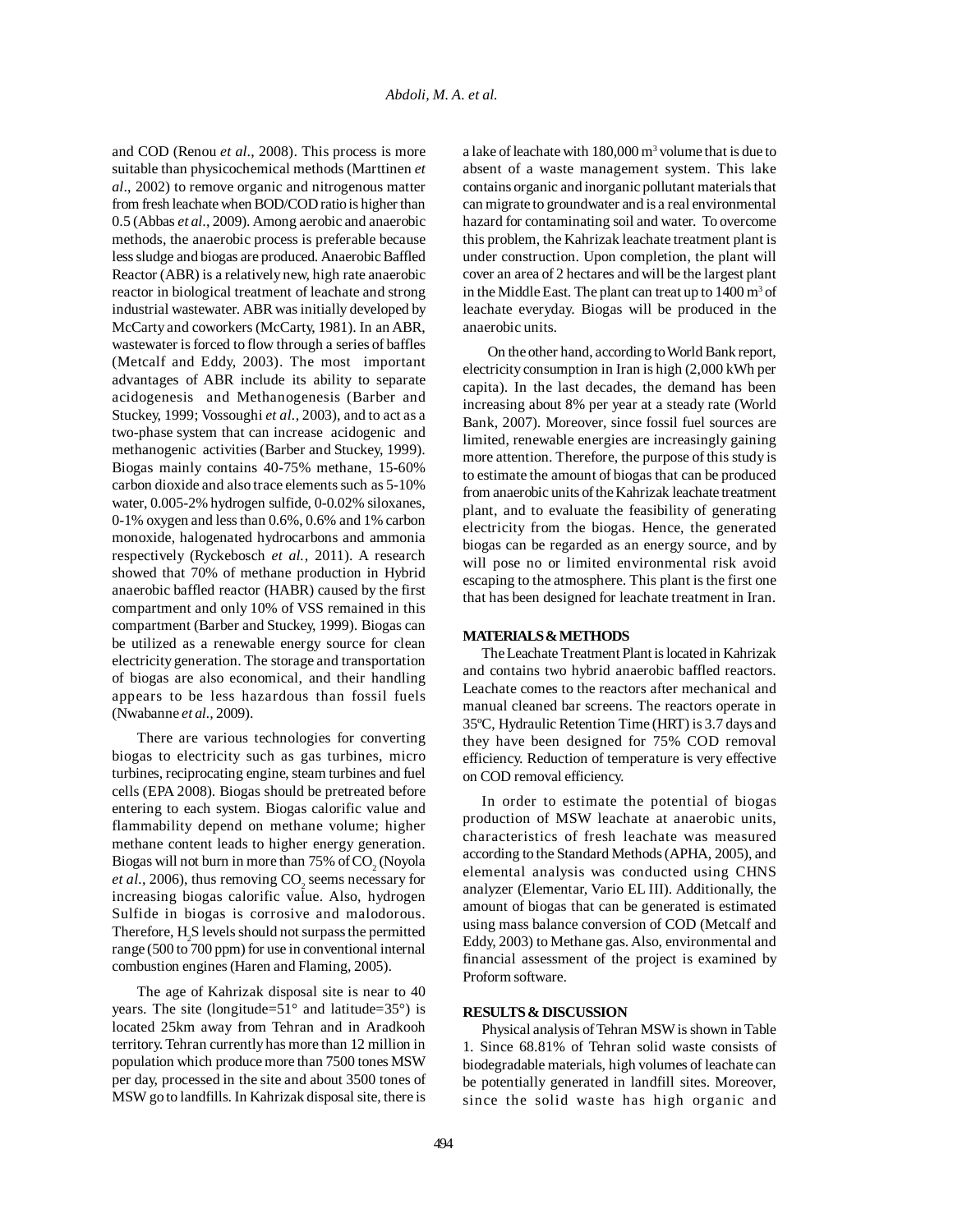and COD (Renou *et al*., 2008). This process is more suitable than physicochemical methods (Marttinen *et al*., 2002) to remove organic and nitrogenous matter from fresh leachate when BOD/COD ratio is higher than 0.5 (Abbas *et al*., 2009). Among aerobic and anaerobic methods, the anaerobic process is preferable because less sludge and biogas are produced. Anaerobic Baffled Reactor (ABR) is a relatively new, high rate anaerobic reactor in biological treatment of leachate and strong industrial wastewater. ABR was initially developed by McCarty and coworkers (McCarty, 1981). In an ABR, wastewater is forced to flow through a series of baffles (Metcalf and Eddy, 2003). The most important advantages of ABR include its ability to separate acidogenesis and Methanogenesis (Barber and Stuckey, 1999; Vossoughi *et al.*, 2003), and to act as a two-phase system that can increase acidogenic and methanogenic activities (Barber and Stuckey, 1999). Biogas mainly contains 40-75% methane, 15-60% carbon dioxide and also trace elements such as 5-10% water, 0.005-2% hydrogen sulfide, 0-0.02% siloxanes, 0-1% oxygen and less than 0.6%, 0.6% and 1% carbon monoxide, halogenated hydrocarbons and ammonia respectively (Ryckebosch *et al.,* 2011). A research showed that 70% of methane production in Hybrid anaerobic baffled reactor (HABR) caused by the first compartment and only 10% of VSS remained in this compartment (Barber and Stuckey, 1999). Biogas can be utilized as a renewable energy source for clean electricity generation. The storage and transportation of biogas are also economical, and their handling appears to be less hazardous than fossil fuels (Nwabanne *et al.,* 2009).

There are various technologies for converting biogas to electricity such as gas turbines, micro turbines, reciprocating engine, steam turbines and fuel cells (EPA 2008). Biogas should be pretreated before entering to each system. Biogas calorific value and flammability depend on methane volume; higher methane content leads to higher energy generation. Biogas will not burn in more than  $75\%$  of  $\mathrm{CO}_2^{\times}$  (Noyola *et al.*, 2006), thus removing  $CO_2$  seems necessary for increasing biogas calorific value. Also, hydrogen Sulfide in biogas is corrosive and malodorous. Therefore,  $H_2S$  levels should not surpass the permitted range (500 to 700 ppm) for use in conventional internal combustion engines (Haren and Flaming, 2005).

The age of Kahrizak disposal site is near to 40 years. The site (longitude= $51^\circ$  and latitude= $35^\circ$ ) is located 25km away from Tehran and in Aradkooh territory. Tehran currently has more than 12 million in population which produce more than 7500 tones MSW per day, processed in the site and about 3500 tones of MSW go to landfills. In Kahrizak disposal site, there is

a lake of leachate with 180,000 m<sup>3</sup> volume that is due to absent of a waste management system. This lake contains organic and inorganic pollutant materials that can migrate to groundwater and is a real environmental hazard for contaminating soil and water. To overcome this problem, the Kahrizak leachate treatment plant is under construction. Upon completion, the plant will cover an area of 2 hectares and will be the largest plant in the Middle East. The plant can treat up to  $1400 \text{ m}^3$  of leachate everyday. Biogas will be produced in the anaerobic units.

On the other hand, according to World Bank report, electricity consumption in Iran is high (2,000 kWh per capita). In the last decades, the demand has been increasing about 8% per year at a steady rate (World Bank, 2007). Moreover, since fossil fuel sources are limited, renewable energies are increasingly gaining more attention. Therefore, the purpose of this study is to estimate the amount of biogas that can be produced from anaerobic units of the Kahrizak leachate treatment plant, and to evaluate the feasibility of generating electricity from the biogas. Hence, the generated biogas can be regarded as an energy source, and by will pose no or limited environmental risk avoid escaping to the atmosphere. This plant is the first one that has been designed for leachate treatment in Iran.

#### **MATERIALS & METHODS**

The Leachate Treatment Plant is located in Kahrizak and contains two hybrid anaerobic baffled reactors. Leachate comes to the reactors after mechanical and manual cleaned bar screens. The reactors operate in 35ºC, Hydraulic Retention Time (HRT) is 3.7 days and they have been designed for 75% COD removal efficiency. Reduction of temperature is very effective on COD removal efficiency.

In order to estimate the potential of biogas production of MSW leachate at anaerobic units, characteristics of fresh leachate was measured according to the Standard Methods (APHA, 2005), and elemental analysis was conducted using CHNS analyzer (Elementar, Vario EL III). Additionally, the amount of biogas that can be generated is estimated using mass balance conversion of COD (Metcalf and Eddy, 2003) to Methane gas. Also, environmental and financial assessment of the project is examined by Proform software.

## **RESULTS & DISCUSSION**

Physical analysis of Tehran MSW is shown in Table 1. Since 68.81% of Tehran solid waste consists of biodegradable materials, high volumes of leachate can be potentially generated in landfill sites. Moreover, since the solid waste has high organic and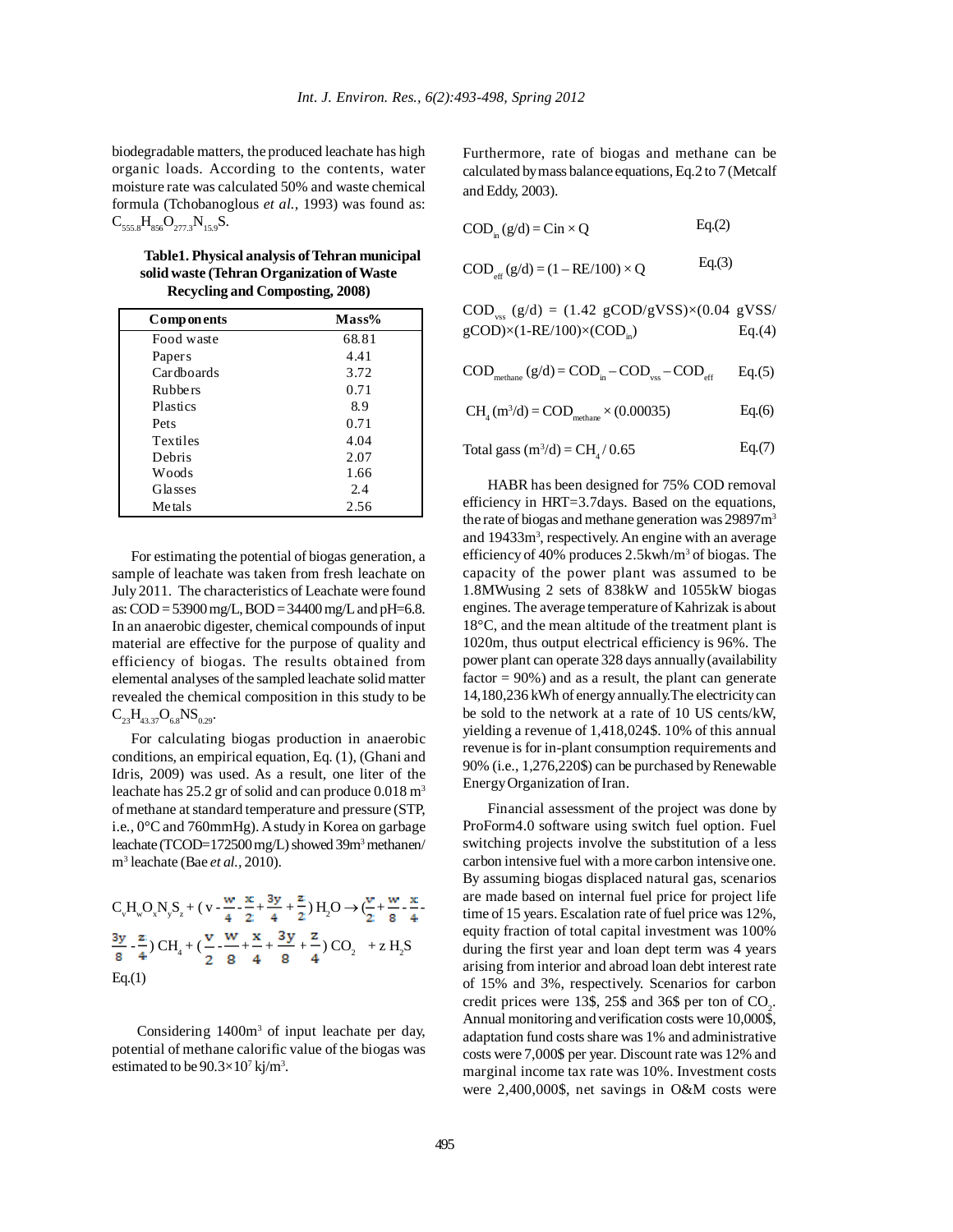biodegradable matters, the produced leachate has high organic loads. According to the contents, water moisture rate was calculated 50% and waste chemical formula (Tchobanoglous *et al.,* 1993) was found as:  $C_{555,8}H_{856}O_{277,3}N_{15,9}S.$ 

| Table 1. Physical analysis of Tehran municipal |
|------------------------------------------------|
| solid waste (Tehran Organization of Waste      |
| Recycling and Composting, 2008)                |

| Components         | $Mass\%$ |
|--------------------|----------|
| Food waste         | 68.81    |
| Paper <sub>s</sub> | 4.41     |
| Cardboards         | 3.72     |
| <b>Rubbers</b>     | 0.71     |
| Plastics           | 8.9      |
| Pets               | 0.71     |
| Textiles           | 4.04     |
| Debris             | 2.07     |
| Woods              | 1.66     |
| <b>Glasses</b>     | 2.4      |
| Metals             | 2.56     |

For estimating the potential of biogas generation, a sample of leachate was taken from fresh leachate on July 2011. The characteristics of Leachate were found as: COD = 53900 mg/L, BOD = 34400 mg/L and pH=6.8. In an anaerobic digester, chemical compounds of input material are effective for the purpose of quality and efficiency of biogas. The results obtained from elemental analyses of the sampled leachate solid matter revealed the chemical composition in this study to be  $C_{23}H_{43.37}O_{6.8}NS_{0.29}$ .

For calculating biogas production in anaerobic conditions, an empirical equation, Eq. (1), (Ghani and Idris, 2009) was used. As a result, one liter of the leachate has  $25.2$  gr of solid and can produce  $0.018$  m<sup>3</sup> of methane at standard temperature and pressure (STP, i.e., 0°C and 760mmHg). A study in Korea on garbage leachate (TCOD=172500 mg/L) showed 39m<sup>3</sup> methanen/ m3 leachate (Bae *et al.,* 2010).

$$
C_vH_wO_xN_yS_z + (v - \frac{w}{4} - \frac{x}{2} + \frac{3y}{4} + \frac{z}{2})H_2O \rightarrow C\frac{v}{2} + \frac{w}{8} - \frac{x}{4}.
$$
  

$$
\frac{3y}{8} - \frac{z}{4} \cdot CH_4 + (\frac{v}{2} - \frac{w}{8} + \frac{x}{4} + \frac{3y}{8} + \frac{z}{4}) CO_2 + z H_2S
$$
  
Eq.(1)

Considering 1400m<sup>3</sup> of input leachate per day, potential of methane calorific value of the biogas was estimated to be  $90.3 \times 10^7$  kj/m<sup>3</sup>.

Furthermore, rate of biogas and methane can be calculated by mass balance equations, Eq.2 to 7 (Metcalf and Eddy, 2003).

 $COD<sub>in</sub> (g/d) = Cin \times Q$  $Eq.(2)$ 

 $COD_{\alpha}$  (g/d) = (1 – RE/100) × Q  $Eq.(3)$ 

$$
COD_{\text{vss}} (g/d) = (1.42 \text{ g}COD/gVSS) \times (0.04 \text{ g}VSS)
$$
  
gCOD $\times$ (1-RE/100) $\times$ (COD<sub>in</sub>) \tEq.(4)

$$
COD_{\text{methane}} (g/d) = COD_{\text{in}} - COD_{\text{vss}} - COD_{\text{eff}} \qquad Eq.(5)
$$

$$
CH4 (m3/d) = CODmethane \times (0.00035)
$$
 Eq.(6)

Total gass (m3 /d) = CH4 / 0.65 Eq.(7)

HABR has been designed for 75% COD removal efficiency in HRT=3.7days. Based on the equations, the rate of biogas and methane generation was 29897m<sup>3</sup> and 19433m<sup>3</sup>, respectively. An engine with an average efficiency of 40% produces 2.5kwh/m<sup>3</sup> of biogas. The capacity of the power plant was assumed to be 1.8MWusing 2 sets of 838kW and 1055kW biogas engines. The average temperature of Kahrizak is about 18°C, and the mean altitude of the treatment plant is 1020m, thus output electrical efficiency is 96%. The power plant can operate 328 days annually (availability factor  $= 90\%$ ) and as a result, the plant can generate 14,180,236 kWh of energy annually.The electricity can be sold to the network at a rate of 10 US cents/kW, yielding a revenue of 1,418,024\$. 10% of this annual revenue is for in-plant consumption requirements and 90% (i.e., 1,276,220\$) can be purchased by Renewable Energy Organization of Iran.

Financial assessment of the project was done by ProForm4.0 software using switch fuel option. Fuel switching projects involve the substitution of a less carbon intensive fuel with a more carbon intensive one. By assuming biogas displaced natural gas, scenarios are made based on internal fuel price for project life time of 15 years. Escalation rate of fuel price was 12%, equity fraction of total capital investment was 100% during the first year and loan dept term was 4 years arising from interior and abroad loan debt interest rate of 15% and 3%, respectively. Scenarios for carbon credit prices were 13\$, 25\$ and 36\$ per ton of  $CO<sub>2</sub>$ . Annual monitoring and verification costs were 10,000\$, adaptation fund costs share was 1% and administrative costs were 7,000\$ per year. Discount rate was 12% and marginal income tax rate was 10%. Investment costs were 2,400,000\$, net savings in O&M costs were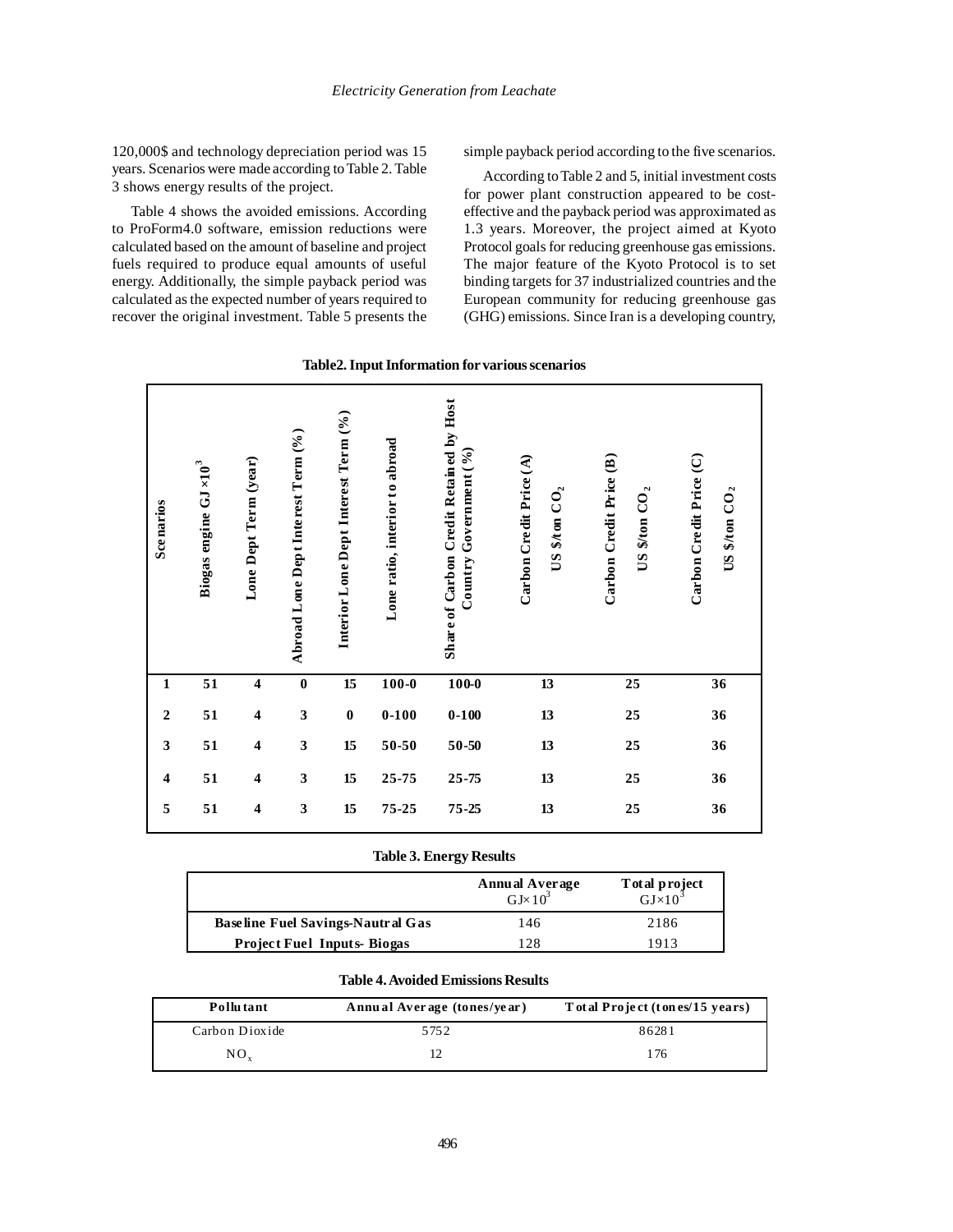120,000\$ and technology depreciation period was 15 years. Scenarios were made according to Table 2. Table 3 shows energy results of the project.

Table 4 shows the avoided emissions. According to ProForm4.0 software, emission reductions were calculated based on the amount of baseline and project fuels required to produce equal amounts of useful energy. Additionally, the simple payback period was calculated as the expected number of years required to recover the original investment. Table 5 presents the simple payback period according to the five scenarios.

According to Table 2 and 5, initial investment costs for power plant construction appeared to be costeffective and the payback period was approximated as 1.3 years. Moreover, the project aimed at Kyoto Protocol goals for reducing greenhouse gas emissions. The major feature of the Kyoto Protocol is to set binding targets for 37 industrialized countries and the European community for reducing greenhouse gas (GHG) emissions. Since Iran is a developing country,

| Table2. Input Information for various scenarios |  |  |
|-------------------------------------------------|--|--|
|-------------------------------------------------|--|--|

| <b>Scenarios</b>        | Biogas engine $GJ \times 10^3$ | Lone Dept Term (year)   | Abroad Lone Dept Interest Term (%) | Interior Lone Dept Interest Term (%) | Lone ratio, interior to abroad | Share of Carbon Credit Retained by Host<br>$\mathop{\rm Country}\nolimits$ Government (%) | Carbon Credit Price (A)<br>US \$/ton $CO2$ | Carbon Credit Price (B)<br>US \$/ton $CO2$ | Carbon Credit Price (C)<br>US \$/t on $CO2$ |
|-------------------------|--------------------------------|-------------------------|------------------------------------|--------------------------------------|--------------------------------|-------------------------------------------------------------------------------------------|--------------------------------------------|--------------------------------------------|---------------------------------------------|
| $\mathbf{1}$            | 51                             | $\boldsymbol{4}$        | $\bf{0}$                           | 15                                   | $100 - 0$                      | $100 - 0$                                                                                 | 13                                         | 25                                         | 36                                          |
| $\overline{2}$          | 51                             | $\overline{\mathbf{4}}$ | $\mathbf{3}$                       | $\bf{0}$                             | $0 - 100$                      | $0 - 100$                                                                                 | 13                                         | 25                                         | 36                                          |
| $\mathbf{3}$            | 51                             | $\boldsymbol{4}$        | $\mathbf{3}$                       | 15                                   | 50-50                          | $50 - 50$                                                                                 | 13                                         | 25                                         | 36                                          |
| $\overline{\mathbf{4}}$ | 51                             | $\overline{\mathbf{4}}$ | $\mathbf{3}$                       | 15                                   | 25-75                          | 25-75                                                                                     | 13                                         | 25                                         | 36                                          |
| 5                       | 51                             | $\boldsymbol{4}$        | $\overline{\mathbf{3}}$            | 15                                   | 75-25                          | 75-25                                                                                     | 13                                         | 25                                         | 36                                          |

# **Table 3. Energy Results**

|                                          | <b>Annual Average</b><br>$GJ \times 10^3$ | T ot al project<br>$\overline{\text{GJ} \times 10^{-}}$ |
|------------------------------------------|-------------------------------------------|---------------------------------------------------------|
| <b>Baseline Fuel Savings-Nautral Gas</b> | 146                                       | 2186                                                    |
| <b>Project Fuel Inputs-Biogas</b>        | 12.8                                      | 1913                                                    |

## **Table 4. Avoided Emissions Results**

| Pollutant      | Annual Average (tones/year) | Total Project (tones/15 years) |
|----------------|-----------------------------|--------------------------------|
| Carbon Dioxide | 5752                        | 86281                          |
| $NO_{v}$       |                             | l 76                           |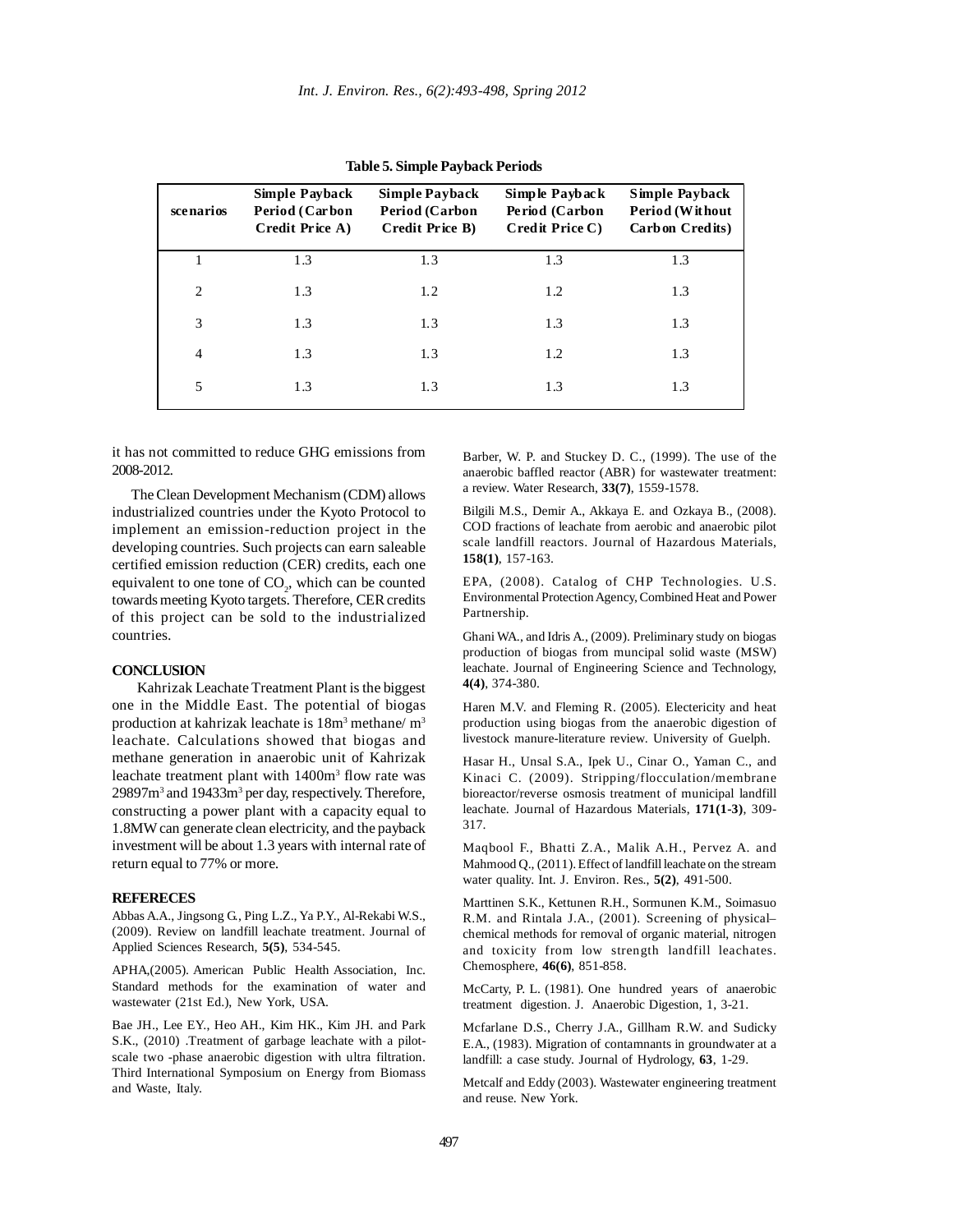| scenarios                   | <b>Simple Payback</b><br>Period (Carbon<br>Credit Price A) | <b>Simple Payback</b><br><b>Period (Carbon</b><br>Credit Price B) | Simple Payback<br>Period (Carbon<br>Credit Price C) | Simple Payback<br>Period (Without<br>Carbon Credits) |
|-----------------------------|------------------------------------------------------------|-------------------------------------------------------------------|-----------------------------------------------------|------------------------------------------------------|
|                             | 1.3                                                        | 1.3                                                               | 1.3                                                 | 1.3                                                  |
| $\mathcal{D}_{\mathcal{L}}$ | 1.3                                                        | 1.2                                                               | 1.2                                                 | 1.3                                                  |
| 3                           | 1.3                                                        | 1.3                                                               | 1.3                                                 | 1.3                                                  |
| $\overline{4}$              | 1.3                                                        | 1.3                                                               | 1.2                                                 | 1.3                                                  |
| 5                           | 1.3                                                        | 1.3                                                               | 1.3                                                 | 1.3                                                  |

**Table 5. Simple Payback Periods**

it has not committed to reduce GHG emissions from 2008-2012.

The Clean Development Mechanism (CDM) allows industrialized countries under the Kyoto Protocol to implement an emission-reduction project in the developing countries. Such projects can earn saleable certified emission reduction (CER) credits, each one equivalent to one tone of  $CO<sub>2</sub>$ , which can be counted towards meeting Kyoto targets. Therefore, CER credits of this project can be sold to the industrialized countries.

### **CONCLUSION**

Kahrizak Leachate Treatment Plant is the biggest one in the Middle East. The potential of biogas production at kahrizak leachate is 18m<sup>3</sup> methane/m<sup>3</sup> leachate. Calculations showed that biogas and methane generation in anaerobic unit of Kahrizak leachate treatment plant with 1400m<sup>3</sup> flow rate was 29897m<sup>3</sup> and 19433m<sup>3</sup> per day, respectively. Therefore, constructing a power plant with a capacity equal to 1.8MW can generate clean electricity, and the payback investment will be about 1.3 years with internal rate of return equal to 77% or more.

### **REFERECES**

Abbas A.A., Jingsong G., Ping L.Z., Ya P.Y., Al-Rekabi W.S., (2009). Review on landfill leachate treatment. Journal of Applied Sciences Research, **5(5)**, 534-545.

APHA,(2005). American Public Health Association, Inc. Standard methods for the examination of water and wastewater (21st Ed.), New York, USA.

Bae JH., Lee EY., Heo AH., Kim HK., Kim JH. and Park S.K., (2010) .Treatment of garbage leachate with a pilotscale two -phase anaerobic digestion with ultra filtration. Third International Symposium on Energy from Biomass and Waste, Italy.

Barber, W. P. and Stuckey D. C., (1999). The use of the anaerobic baffled reactor (ABR) for wastewater treatment: a review. Water Research, **33(7)**, 1559-1578.

Bilgili M.S., Demir A., Akkaya E. and Ozkaya B., (2008). COD fractions of leachate from aerobic and anaerobic pilot scale landfill reactors. Journal of Hazardous Materials, **158(1)**, 157-163.

EPA, (2008). Catalog of CHP Technologies. U.S. Environmental Protection Agency, Combined Heat and Power Partnership.

Ghani WA., and Idris A., (2009). Preliminary study on biogas production of biogas from muncipal solid waste (MSW) leachate. Journal of Engineering Science and Technology, **4(4)**, 374-380.

Haren M.V. and Fleming R. (2005). Electericity and heat production using biogas from the anaerobic digestion of livestock manure-literature review. University of Guelph.

Hasar H., Unsal S.A., Ipek U., Cinar O., Yaman C., and Kinaci C. (2009). Stripping/flocculation/membrane bioreactor/reverse osmosis treatment of municipal landfill leachate. Journal of Hazardous Materials, **171(1-3)**, 309- 317.

Maqbool F., Bhatti Z.A., Malik A.H., Pervez A. and Mahmood Q., (2011). Effect of landfill leachate on the stream water quality. Int. J. Environ. Res., **5(2)**, 491-500.

Marttinen S.K., Kettunen R.H., Sormunen K.M., Soimasuo R.M. and Rintala J.A., (2001). Screening of physical– chemical methods for removal of organic material, nitrogen and toxicity from low strength landfill leachates. Chemosphere, **46(6)**, 851-858.

McCarty, P. L. (1981). One hundred years of anaerobic treatment digestion. J. Anaerobic Digestion, 1, 3-21.

Mcfarlane D.S., Cherry J.A., Gillham R.W. and Sudicky E.A., (1983). Migration of contamnants in groundwater at a landfill: a case study. Journal of Hydrology, **63**, 1-29.

Metcalf and Eddy (2003). Wastewater engineering treatment and reuse. New York.